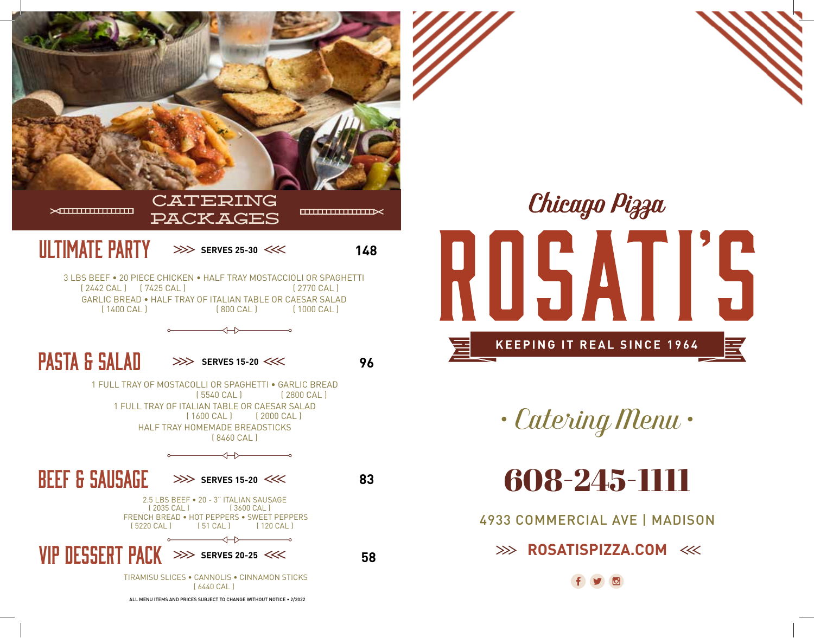



*• Catering Menu •*

608-245-1111

4933 COMMERCIAL AVE | MADISON

**EXAMPLE ROSATISPIZZA.COM <<<< ROSATISPIZZA.COM <<<< ROSATISPIZZA.COM <<< ROSATISPIZZA.COM << ROSATISPIZZA.COM << ROSATISPIZZA.COM << ROSATISPIZZA.COM << ROSATISPIZZA.COM << ROSATISPIZZA.COM << ROSATISPIZZA.COM << ROSATISP**